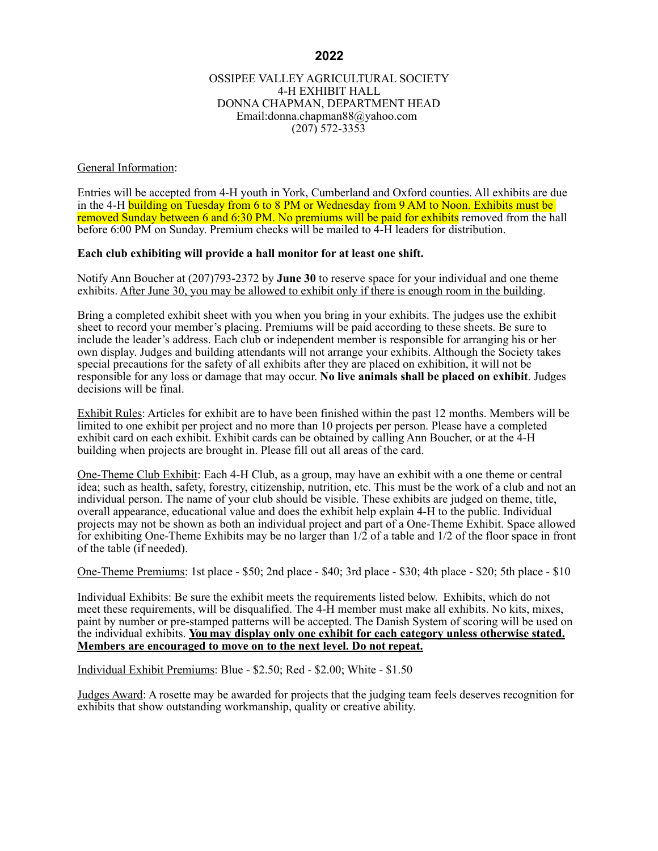### OSSIPEE VALLEY AGRICULTURAL SOCIETY 4-H EXHIBIT HALL DONNA CHAPMAN, DEPARTMENT HEAD Email:donna.chapman88@yahoo.com (207) 572-3353

### General Information:

Entries will be accepted from 4-H youth in York, Cumberland and Oxford counties. All exhibits are due in the 4-H building on Tuesday from 6 to 8 PM or Wednesday from 9 AM to Noon. Exhibits must be removed Sunday between 6 and 6:30 PM. No premiums will be paid for exhibits removed from the hall before 6:00 PM on Sunday. Premium checks will be mailed to 4-H leaders for distribution.

#### **Each club exhibiting will provide a hall monitor for at least one shift.**

Notify Ann Boucher at (207)793-2372 by **June 30** to reserve space for your individual and one theme exhibits. After June 30, you may be allowed to exhibit only if there is enough room in the building.

Bring a completed exhibit sheet with you when you bring in your exhibits. The judges use the exhibit sheet to record your member's placing. Premiums will be paid according to these sheets. Be sure to include the leader's address. Each club or independent member is responsible for arranging his or her own display. Judges and building attendants will not arrange your exhibits. Although the Society takes special precautions for the safety of all exhibits after they are placed on exhibition, it will not be responsible for any loss or damage that may occur. **No live animals shall be placed on exhibit**. Judges decisions will be final.

Exhibit Rules: Articles for exhibit are to have been finished within the past 12 months. Members will be limited to one exhibit per project and no more than 10 projects per person. Please have a completed exhibit card on each exhibit. Exhibit cards can be obtained by calling Ann Boucher, or at the 4-H building when projects are brought in. Please fill out all areas of the card.

One-Theme Club Exhibit: Each 4-H Club, as a group, may have an exhibit with a one theme or central idea; such as health, safety, forestry, citizenship, nutrition, etc. This must be the work of a club and not an individual person. The name of your club should be visible. These exhibits are judged on theme, title, overall appearance, educational value and does the exhibit help explain 4-H to the public. Individual projects may not be shown as both an individual project and part of a One-Theme Exhibit. Space allowed for exhibiting One-Theme Exhibits may be no larger than 1/2 of a table and 1/2 of the floor space in front of the table (if needed).

One-Theme Premiums: 1st place - \$50; 2nd place - \$40; 3rd place - \$30; 4th place - \$20; 5th place - \$10

Individual Exhibits: Be sure the exhibit meets the requirements listed below. Exhibits, which do not meet these requirements, will be disqualified. The 4-H member must make all exhibits. No kits, mixes, paint by number or pre-stamped patterns will be accepted. The Danish System of scoring will be used on the individual exhibits. **You may display only one exhibit for each category unless otherwise stated. Members are encouraged to move on to the next level. Do not repeat.**

Individual Exhibit Premiums: Blue - \$2.50; Red - \$2.00; White - \$1.50

Judges Award: A rosette may be awarded for projects that the judging team feels deserves recognition for exhibits that show outstanding workmanship, quality or creative ability.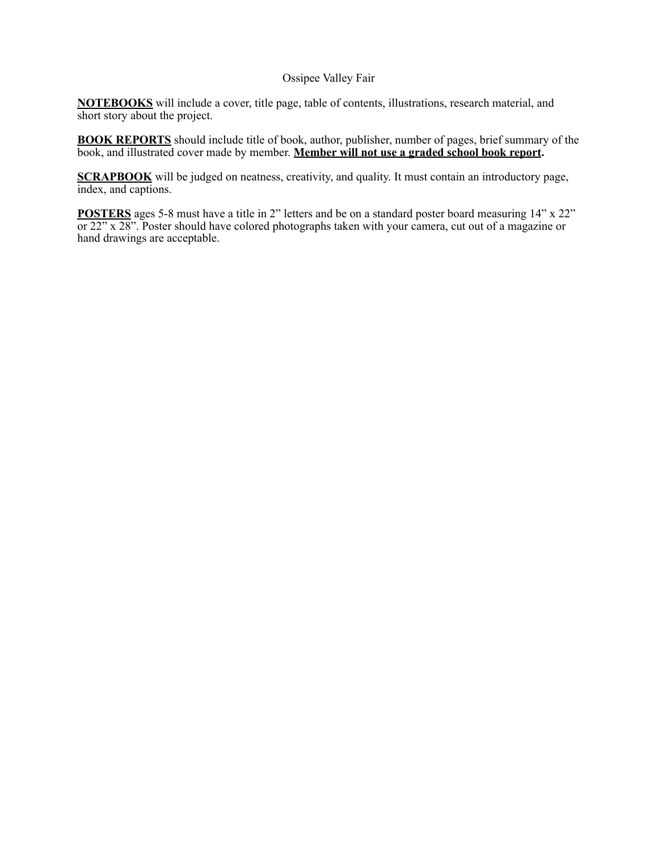# Ossipee Valley Fair

**NOTEBOOKS** will include a cover, title page, table of contents, illustrations, research material, and short story about the project.

**BOOK REPORTS** should include title of book, author, publisher, number of pages, brief summary of the book, and illustrated cover made by member. **Member will not use a graded school book report.**

**SCRAPBOOK** will be judged on neatness, creativity, and quality. It must contain an introductory page, index, and captions.

**POSTERS** ages 5-8 must have a title in 2" letters and be on a standard poster board measuring 14" x 22" or 22" x 28". Poster should have colored photographs taken with your camera, cut out of a magazine or hand drawings are acceptable.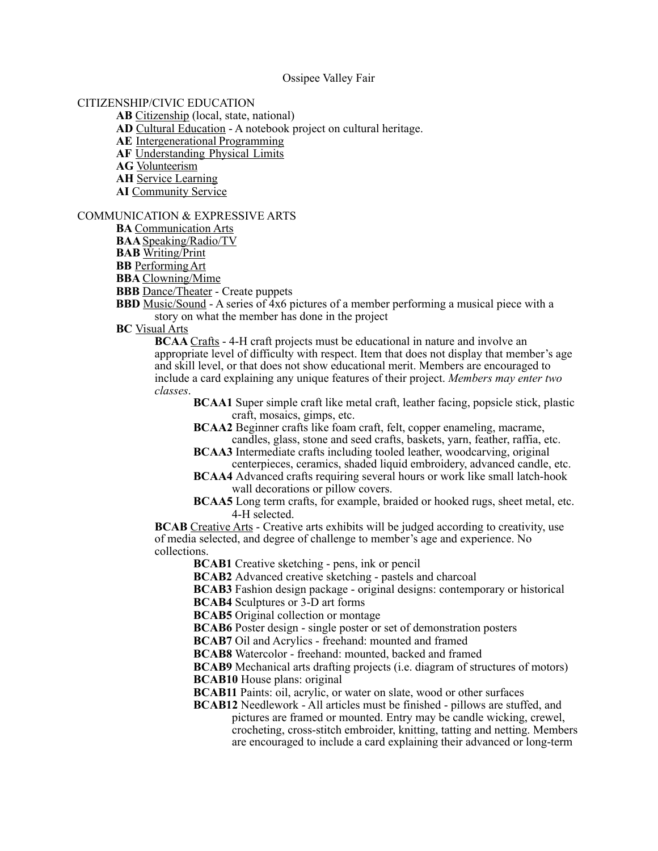#### Ossipee Valley Fair

### CITIZENSHIP/CIVIC EDUCATION

**AB** Citizenship (local, state, national)

**AD** Cultural Education - A notebook project on cultural heritage.

**AE** Intergenerational Programming

**AF** Understanding Physical Limits

**AG** Volunteerism

**AH** Service Learning

**AI** Community Service

### COMMUNICATION & EXPRESSIVE ARTS

**BA** Communication Arts

**BAA**Speaking/Radio/TV

**BAB** Writing/Print

**BB** PerformingArt

**BBA** Clowning/Mime

**BBB** Dance/Theater - Create puppets

**BBD** Music/Sound - A series of 4x6 pictures of a member performing a musical piece with a story on what the member has done in the project

**BC** Visual Arts

**BCAA Crafts** - 4-H craft projects must be educational in nature and involve an appropriate level of difficulty with respect. Item that does not display that member's age and skill level, or that does not show educational merit. Members are encouraged to include a card explaining any unique features of their project. *Members may enter two classes*.

**BCAA1** Super simple craft like metal craft, leather facing, popsicle stick, plastic craft, mosaics, gimps, etc.

**BCAA2** Beginner crafts like foam craft, felt, copper enameling, macrame, candles, glass, stone and seed crafts, baskets, yarn, feather, raffia, etc.

**BCAA3** Intermediate crafts including tooled leather, woodcarving, original centerpieces, ceramics, shaded liquid embroidery, advanced candle, etc.

**BCAA4** Advanced crafts requiring several hours or work like small latch-hook wall decorations or pillow covers.

**BCAA5** Long term crafts, for example, braided or hooked rugs, sheet metal, etc. 4-H selected.

**BCAB** Creative Arts - Creative arts exhibits will be judged according to creativity, use of media selected, and degree of challenge to member's age and experience. No collections.

**BCAB1** Creative sketching - pens, ink or pencil

**BCAB2** Advanced creative sketching - pastels and charcoal

**BCAB3** Fashion design package - original designs: contemporary or historical

**BCAB4** Sculptures or 3-D art forms

**BCAB5** Original collection or montage

**BCAB6** Poster design - single poster or set of demonstration posters

**BCAB7** Oil and Acrylics - freehand: mounted and framed

**BCAB8** Watercolor - freehand: mounted, backed and framed

**BCAB9** Mechanical arts drafting projects (i.e. diagram of structures of motors) **BCAB10** House plans: original

**BCAB11** Paints: oil, acrylic, or water on slate, wood or other surfaces

**BCAB12** Needlework - All articles must be finished - pillows are stuffed, and pictures are framed or mounted. Entry may be candle wicking, crewel, crocheting, cross-stitch embroider, knitting, tatting and netting. Members are encouraged to include a card explaining their advanced or long-term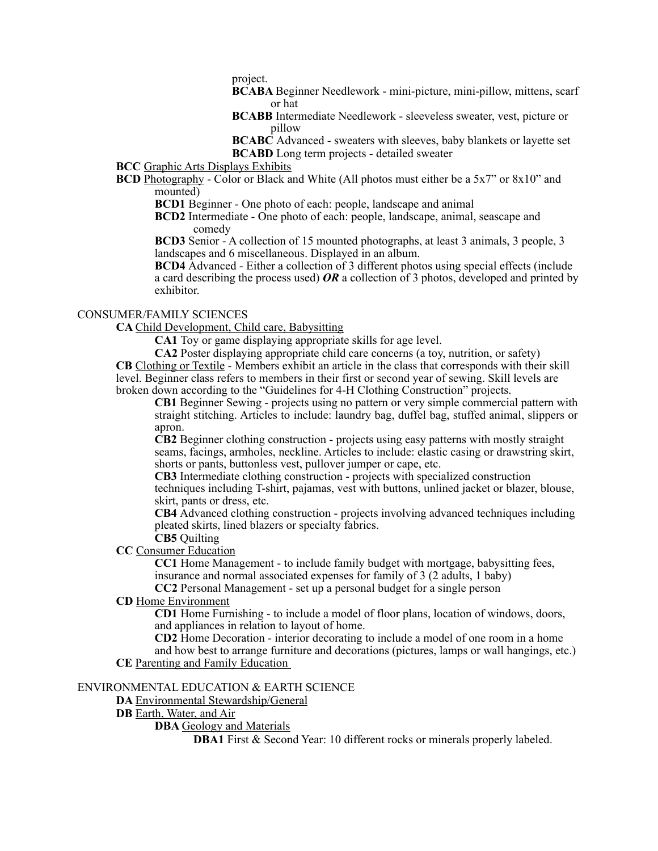project.

- **BCABA** Beginner Needlework mini-picture, mini-pillow, mittens, scarf or hat
- **BCABB** Intermediate Needlework sleeveless sweater, vest, picture or pillow
- **BCABC** Advanced sweaters with sleeves, baby blankets or layette set **BCABD** Long term projects - detailed sweater
- **BCC** Graphic Arts Displays Exhibits
- **BCD** Photography Color or Black and White (All photos must either be a 5x7" or 8x10" and mounted)
	- **BCD1** Beginner One photo of each: people, landscape and animal
	- **BCD2** Intermediate One photo of each: people, landscape, animal, seascape and comedy

**BCD3** Senior - A collection of 15 mounted photographs, at least 3 animals, 3 people, 3 landscapes and 6 miscellaneous. Displayed in an album.

**BCD4** Advanced - Either a collection of 3 different photos using special effects (include a card describing the process used) *OR* a collection of 3 photos, developed and printed by exhibitor.

### CONSUMER/FAMILY SCIENCES

**CA** Child Development, Child care, Babysitting

**CA1** Toy or game displaying appropriate skills for age level.

**CA2** Poster displaying appropriate child care concerns (a toy, nutrition, or safety) **CB** Clothing or Textile - Members exhibit an article in the class that corresponds with their skill level. Beginner class refers to members in their first or second year of sewing. Skill levels are broken down according to the "Guidelines for 4-H Clothing Construction" projects.

**CB1** Beginner Sewing - projects using no pattern or very simple commercial pattern with straight stitching. Articles to include: laundry bag, duffel bag, stuffed animal, slippers or apron.

**CB2** Beginner clothing construction - projects using easy patterns with mostly straight seams, facings, armholes, neckline. Articles to include: elastic casing or drawstring skirt, shorts or pants, buttonless vest, pullover jumper or cape, etc.

**CB3** Intermediate clothing construction - projects with specialized construction techniques including T-shirt, pajamas, vest with buttons, unlined jacket or blazer, blouse, skirt, pants or dress, etc.

**CB4** Advanced clothing construction - projects involving advanced techniques including pleated skirts, lined blazers or specialty fabrics.

**CB5** Quilting

# **CC** Consumer Education

**CC1** Home Management - to include family budget with mortgage, babysitting fees, insurance and normal associated expenses for family of 3 (2 adults, 1 baby)

**CC2** Personal Management - set up a personal budget for a single person

**CD** Home Environment

**CD1** Home Furnishing - to include a model of floor plans, location of windows, doors, and appliances in relation to layout of home.

**CD2** Home Decoration - interior decorating to include a model of one room in a home and how best to arrange furniture and decorations (pictures, lamps or wall hangings, etc.) **CE** Parenting and Family Education

### ENVIRONMENTAL EDUCATION & EARTH SCIENCE

**DA** Environmental Stewardship/General

**DB** Earth, Water, and Air

# **DBA** Geology and Materials

**DBA1** First & Second Year: 10 different rocks or minerals properly labeled.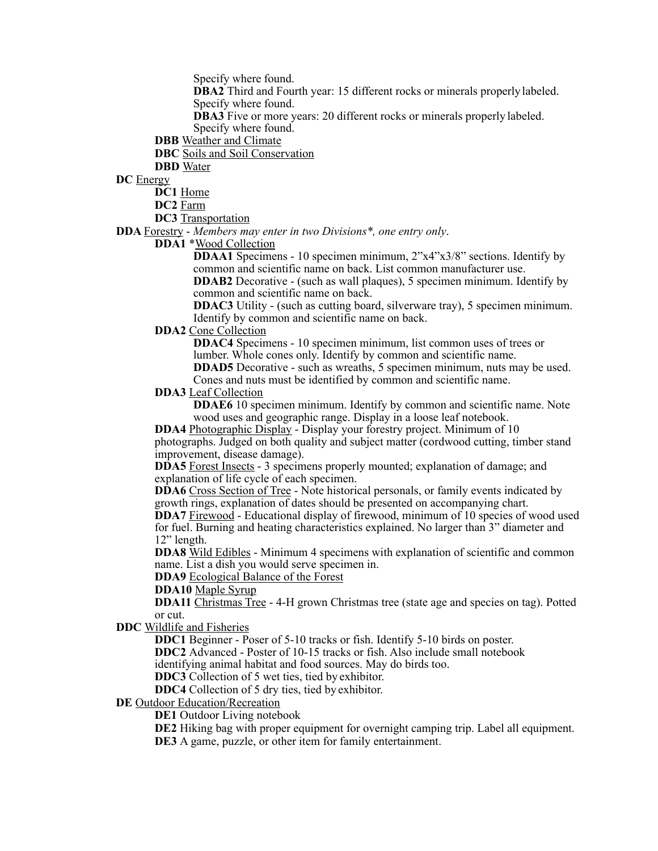Specify where found.

**DBA2** Third and Fourth year: 15 different rocks or minerals properly labeled. Specify where found.

**DBA3** Five or more years: 20 different rocks or minerals properly labeled. Specify where found.

**DBB** Weather and Climate

**DBC** Soils and Soil Conservation

**DBD** Water

**DC** Energy

**DC1** Home

**DC2** Farm

**DC3** Transportation

**DDA** Forestry - *Members may enter in two Divisions\*, one entry only*.

**DDA1** \*Wood Collection

**DDAA1** Specimens - 10 specimen minimum, 2"x4"x3/8" sections. Identify by common and scientific name on back. List common manufacturer use.

**DDAB2** Decorative - (such as wall plaques), 5 specimen minimum. Identify by common and scientific name on back.

**DDAC3** Utility - (such as cutting board, silverware tray), 5 specimen minimum. Identify by common and scientific name on back.

# **DDA2** Cone Collection

**DDAC4** Specimens - 10 specimen minimum, list common uses of trees or lumber. Whole cones only. Identify by common and scientific name. **DDAD5** Decorative - such as wreaths, 5 specimen minimum, nuts may be used. Cones and nuts must be identified by common and scientific name.

## **DDA3** Leaf Collection

**DDAE6** 10 specimen minimum. Identify by common and scientific name. Note wood uses and geographic range. Display in a loose leaf notebook.

**DDA4** Photographic Display - Display your forestry project. Minimum of 10 photographs. Judged on both quality and subject matter (cordwood cutting, timber stand improvement, disease damage).

**DDA5** Forest Insects - 3 specimens properly mounted; explanation of damage; and explanation of life cycle of each specimen.

**DDA6** Cross Section of Tree - Note historical personals, or family events indicated by growth rings, explanation of dates should be presented on accompanying chart.

**DDA7** Firewood - Educational display of firewood, minimum of 10 species of wood used for fuel. Burning and heating characteristics explained. No larger than 3" diameter and 12" length.

**DDA8** Wild Edibles - Minimum 4 specimens with explanation of scientific and common name. List a dish you would serve specimen in.

**DDA9** Ecological Balance of the Forest

**DDA10** Maple Syrup

**DDA11** Christmas Tree - 4-H grown Christmas tree (state age and species on tag). Potted or cut.

**DDC** Wildlife and Fisheries

**DDC1** Beginner - Poser of 5-10 tracks or fish. Identify 5-10 birds on poster.

**DDC2** Advanced - Poster of 10-15 tracks or fish. Also include small notebook

identifying animal habitat and food sources. May do birds too.

**DDC3** Collection of 5 wet ties, tied by exhibitor.

**DDC4** Collection of 5 dry ties, tied by exhibitor.

**DE** Outdoor Education/Recreation

**DE1** Outdoor Living notebook

**DE2** Hiking bag with proper equipment for overnight camping trip. Label all equipment. **DE3** A game, puzzle, or other item for family entertainment.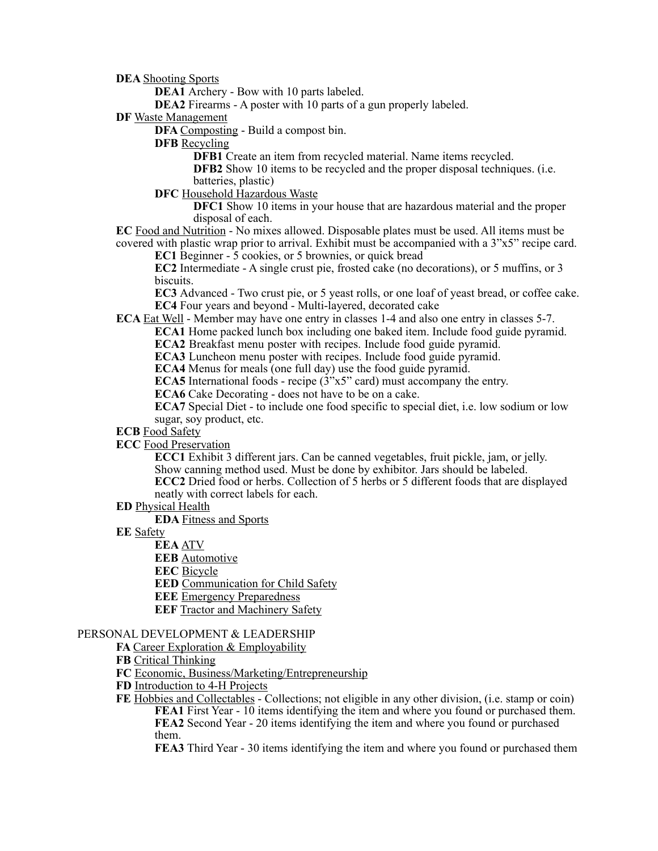**DEA** Shooting Sports

**DEA1** Archery - Bow with 10 parts labeled.

**DEA2** Firearms - A poster with 10 parts of a gun properly labeled.

**DF** Waste Management

**DFA** Composting - Build a compost bin.

**DFB** Recycling

**DFB1** Create an item from recycled material. Name items recycled.

**DFB2** Show 10 items to be recycled and the proper disposal techniques. (i.e. batteries, plastic)

**DFC** Household Hazardous Waste

**DFC1** Show 10 items in your house that are hazardous material and the proper disposal of each.

**EC** Food and Nutrition - No mixes allowed. Disposable plates must be used. All items must be covered with plastic wrap prior to arrival. Exhibit must be accompanied with a 3"x5" recipe card.

**EC1** Beginner - 5 cookies, or 5 brownies, or quick bread

**EC2** Intermediate - A single crust pie, frosted cake (no decorations), or 5 muffins, or 3 biscuits.

**EC3** Advanced - Two crust pie, or 5 yeast rolls, or one loaf of yeast bread, or coffee cake. **EC4** Four years and beyond - Multi-layered, decorated cake

**ECA** Eat Well - Member may have one entry in classes 1-4 and also one entry in classes 5-7.

**ECA1** Home packed lunch box including one baked item. Include food guide pyramid.

**ECA2** Breakfast menu poster with recipes. Include food guide pyramid.

**ECA3** Luncheon menu poster with recipes. Include food guide pyramid.

**ECA4** Menus for meals (one full day) use the food guide pyramid.

**ECA5** International foods - recipe (3"x5" card) must accompany the entry.

**ECA6** Cake Decorating - does not have to be on a cake.

**ECA7** Special Diet - to include one food specific to special diet, i.e. low sodium or low sugar, soy product, etc.

**ECB** Food Safety

## **ECC** Food Preservation

**ECC1** Exhibit 3 different jars. Can be canned vegetables, fruit pickle, jam, or jelly. Show canning method used. Must be done by exhibitor. Jars should be labeled. **ECC2** Dried food or herbs. Collection of 5 herbs or 5 different foods that are displayed

neatly with correct labels for each.

**ED** Physical Health

**EDA** Fitness and Sports

**EE** Safety

**EEA** ATV

**EEB** Automotive

**EEC** Bicycle

**EED** Communication for Child Safety

**EEE** Emergency Preparedness

**EEF** Tractor and Machinery Safety

### PERSONAL DEVELOPMENT & LEADERSHIP

**FA Career Exploration & Employability** 

**FB** Critical Thinking

**FC** Economic, Business/Marketing/Entrepreneurship

**FD** Introduction to 4-H Projects

**FE** Hobbies and Collectables - Collections; not eligible in any other division, (i.e. stamp or coin) **FEA1** First Year - 10 items identifying the item and where you found or purchased them. **FEA2** Second Year - 20 items identifying the item and where you found or purchased them.

**FEA3** Third Year - 30 items identifying the item and where you found or purchased them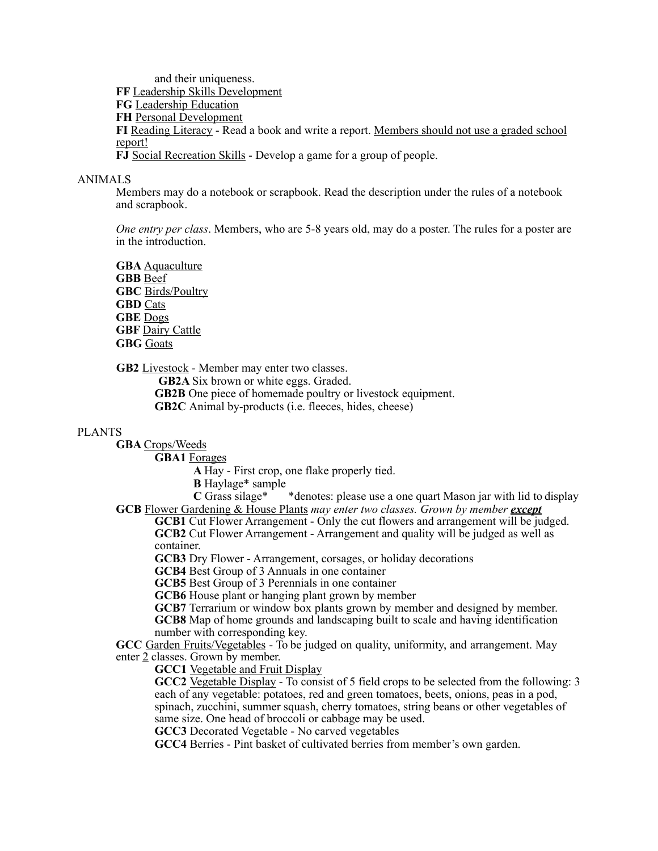and their uniqueness. **FF** Leadership Skills Development **FG** Leadership Education **FH** Personal Development **FI** Reading Literacy - Read a book and write a report. Members should not use a graded school report! **FJ** Social Recreation Skills - Develop a game for a group of people.

### ANIMALS

Members may do a notebook or scrapbook. Read the description under the rules of a notebook and scrapbook.

*One entry per class*. Members, who are 5-8 years old, may do a poster. The rules for a poster are in the introduction.

**GBA** Aquaculture **GBB** Beef **GBC** Birds/Poultry **GBD** Cats **GBE** Dogs **GBF** Dairy Cattle **GBG** Goats

**GB2** Livestock - Member may enter two classes.

**GB2A** Six brown or white eggs. Graded.

**GB2B** One piece of homemade poultry or livestock equipment.

**GB2C** Animal by-products (i.e. fleeces, hides, cheese)

## PLANTS

**GBA** Crops/Weeds

**GBA1** Forages

**A** Hay - First crop, one flake properly tied.

**B** Haylage\* sample<br>**C** Grass silage\*

\* denotes: please use a one quart Mason jar with lid to display **GCB** Flower Gardening & House Plants *may enter two classes. Grown by member except*

**GCB1** Cut Flower Arrangement - Only the cut flowers and arrangement will be judged. **GCB2** Cut Flower Arrangement - Arrangement and quality will be judged as well as container.

**GCB3** Dry Flower - Arrangement, corsages, or holiday decorations

**GCB4** Best Group of 3 Annuals in one container

**GCB5** Best Group of 3 Perennials in one container

**GCB6** House plant or hanging plant grown by member

**GCB7** Terrarium or window box plants grown by member and designed by member. **GCB8** Map of home grounds and landscaping built to scale and having identification number with corresponding key.

**GCC** Garden Fruits/Vegetables - To be judged on quality, uniformity, and arrangement. May enter 2 classes. Grown by member.

**GCC1** Vegetable and Fruit Display

**GCC2** Vegetable Display - To consist of 5 field crops to be selected from the following: 3 each of any vegetable: potatoes, red and green tomatoes, beets, onions, peas in a pod, spinach, zucchini, summer squash, cherry tomatoes, string beans or other vegetables of same size. One head of broccoli or cabbage may be used.

**GCC3** Decorated Vegetable - No carved vegetables

**GCC4** Berries - Pint basket of cultivated berries from member's own garden.